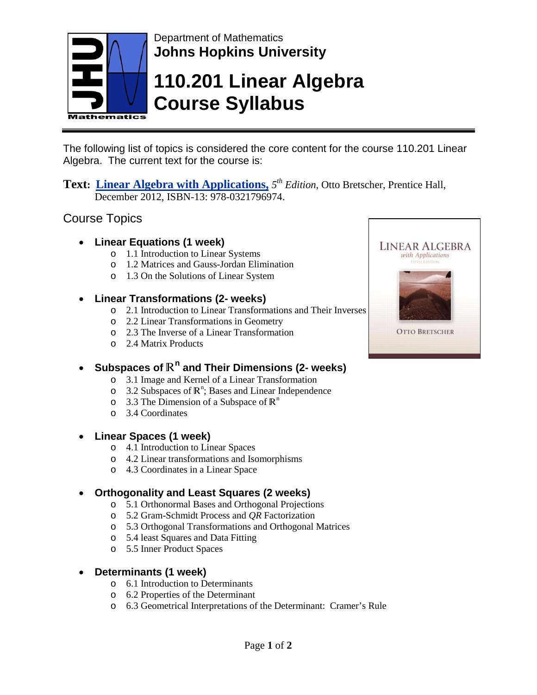

## Department of Mathematics **Johns Hopkins University**

# **110.201 Linear Algebra Course Syllabus**

The following list of topics is considered the core content for the course 110.201 Linear Algebra. The current text for the course is:

**Text: Linear Algebra with Applications,** *5th Edition*, Otto Bretscher, Prentice Hall, December 2012, ISBN-13: 978-0321796974.

### Course Topics

- **Linear Equations (1 week)**
	- o 1.1 Introduction to Linear Systems
	- o 1.2 Matrices and Gauss-Jordan Elimination
	- o 1.3 On the Solutions of Linear System

#### • **Linear Transformations (2- weeks)**

- o 2.1 Introduction to Linear Transformations and Their Inverses
- o 2.2 Linear Transformations in Geometry
- o 2.3 The Inverse of a Linear Transformation
- o 2.4 Matrix Products

## • **Subspaces of** R**<sup>n</sup> and Their Dimensions (2- weeks)**

- o 3.1 Image and Kernel of a Linear Transformation
- $\circ$  3.2 Subspaces of  $\mathbb{R}^n$ ; Bases and Linear Independence
- o 3.3 The Dimension of a Subspace of  $\mathbb{R}^n$
- o 3.4 Coordinates

#### • **Linear Spaces (1 week)**

- o 4.1 Introduction to Linear Spaces
- o 4.2 Linear transformations and Isomorphisms
- o 4.3 Coordinates in a Linear Space

#### • **Orthogonality and Least Squares (2 weeks)**

- o 5.1 Orthonormal Bases and Orthogonal Projections
- o 5.2 Gram-Schmidt Process and *QR* Factorization
- o 5.3 Orthogonal Transformations and Orthogonal Matrices
- o 5.4 least Squares and Data Fitting
- o 5.5 Inner Product Spaces

#### • **Determinants (1 week)**

- o 6.1 Introduction to Determinants
- o 6.2 Properties of the Determinant
- o 6.3 Geometrical Interpretations of the Determinant: Cramer's Rule